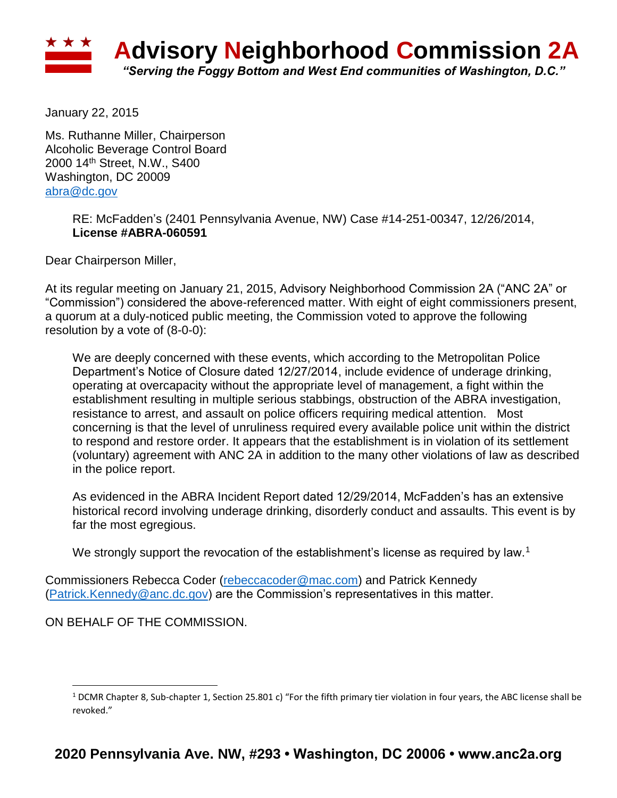

January 22, 2015

Ms. Ruthanne Miller, Chairperson Alcoholic Beverage Control Board 2000 14th Street, N.W., S400 Washington, DC 20009 [abra@dc.gov](mailto:abra@dc.gov)

> RE: McFadden's (2401 Pennsylvania Avenue, NW) Case #14-251-00347, 12/26/2014, **License #ABRA-060591**

Dear Chairperson Miller,

At its regular meeting on January 21, 2015, Advisory Neighborhood Commission 2A ("ANC 2A" or "Commission") considered the above-referenced matter. With eight of eight commissioners present, a quorum at a duly-noticed public meeting, the Commission voted to approve the following resolution by a vote of (8-0-0):

We are deeply concerned with these events, which according to the Metropolitan Police Department's Notice of Closure dated 12/27/2014, include evidence of underage drinking, operating at overcapacity without the appropriate level of management, a fight within the establishment resulting in multiple serious stabbings, obstruction of the ABRA investigation, resistance to arrest, and assault on police officers requiring medical attention. Most concerning is that the level of unruliness required every available police unit within the district to respond and restore order. It appears that the establishment is in violation of its settlement (voluntary) agreement with ANC 2A in addition to the many other violations of law as described in the police report.

As evidenced in the ABRA Incident Report dated 12/29/2014, McFadden's has an extensive historical record involving underage drinking, disorderly conduct and assaults. This event is by far the most egregious.

We strongly support the revocation of the establishment's license as required by law.<sup>1</sup>

Commissioners Rebecca Coder [\(rebeccacoder@mac.com\)](mailto:rebeccacoder@mac.com) and Patrick Kennedy [\(Patrick.Kennedy@anc.dc.gov\)](mailto:Patrick.Kennedy@anc.dc.gov) are the Commission's representatives in this matter.

ON BEHALF OF THE COMMISSION.

 $\overline{\phantom{a}}$ 

 $1$  DCMR Chapter 8, Sub-chapter 1, Section 25.801 c) "For the fifth primary tier violation in four years, the ABC license shall be revoked."